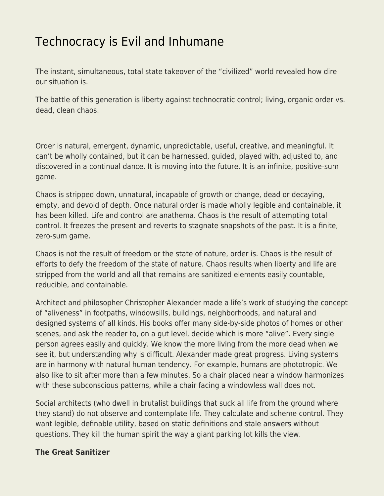# [Technocracy is Evil and Inhumane](https://everything-voluntary.com/technocracy-is-evil-and-inhumane)

The instant, simultaneous, total state takeover of the "civilized" world revealed how dire our situation is.

The battle of this generation is liberty against technocratic control; living, organic order vs. dead, clean chaos.

Order is natural, emergent, dynamic, unpredictable, useful, creative, and meaningful. It can't be wholly contained, but it can be harnessed, guided, played with, adjusted to, and discovered in a continual dance. It is moving into the future. It is an infinite, positive-sum game.

Chaos is stripped down, unnatural, incapable of growth or change, dead or decaying, empty, and devoid of depth. Once natural order is made wholly legible and containable, it has been killed. Life and control are anathema. Chaos is the result of attempting total control. It freezes the present and reverts to stagnate snapshots of the past. It is a finite, zero-sum game.

Chaos is not the result of freedom or the state of nature, order is. Chaos is the result of efforts to defy the freedom of the state of nature. Chaos results when liberty and life are stripped from the world and all that remains are sanitized elements easily countable, reducible, and containable.

Architect and philosopher Christopher Alexander made a life's work of studying the concept of "aliveness" in footpaths, windowsills, buildings, neighborhoods, and natural and designed systems of all kinds. His books offer many side-by-side photos of homes or other scenes, and ask the reader to, on a gut level, decide which is more "alive". Every single person agrees easily and quickly. We know the more living from the more dead when we see it, but understanding why is difficult. Alexander made great progress. Living systems are in harmony with natural human tendency. For example, humans are phototropic. We also like to sit after more than a few minutes. So a chair placed near a window harmonizes with these subconscious patterns, while a chair facing a windowless wall does not.

Social architects (who dwell in brutalist buildings that suck all life from the ground where they stand) do not observe and contemplate life. They calculate and scheme control. They want legible, definable utility, based on static definitions and stale answers without questions. They kill the human spirit the way a giant parking lot kills the view.

### **The Great Sanitizer**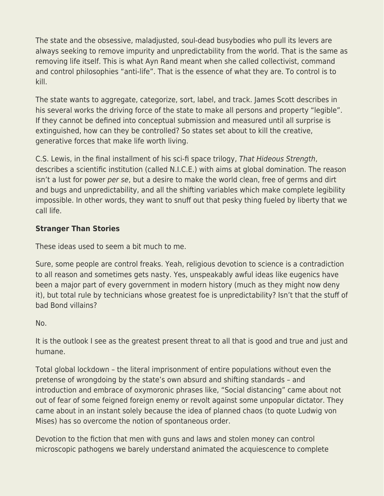The state and the obsessive, maladjusted, soul-dead busybodies who pull its levers are always seeking to remove impurity and unpredictability from the world. That is the same as removing life itself. This is what Ayn Rand meant when she called collectivist, command and control philosophies "anti-life". That is the essence of what they are. To control is to kill.

The state wants to aggregate, categorize, sort, label, and track. James Scott describes in his several works the driving force of the state to make all persons and property "legible". If they cannot be defined into conceptual submission and measured until all surprise is extinguished, how can they be controlled? So states set about to kill the creative, generative forces that make life worth living.

C.S. Lewis, in the final installment of his sci-fi space trilogy, That Hideous Strength, describes a scientific institution (called N.I.C.E.) with aims at global domination. The reason isn't a lust for power per se, but a desire to make the world clean, free of germs and dirt and bugs and unpredictability, and all the shifting variables which make complete legibility impossible. In other words, they want to snuff out that pesky thing fueled by liberty that we call life.

# **Stranger Than Stories**

These ideas used to seem a bit much to me.

Sure, some people are control freaks. Yeah, religious devotion to science is a contradiction to all reason and sometimes gets nasty. Yes, unspeakably awful ideas like eugenics have been a major part of every government in modern history (much as they might now deny it), but total rule by technicians whose greatest foe is unpredictability? Isn't that the stuff of bad Bond villains?

### No.

It is the outlook I see as the greatest present threat to all that is good and true and just and humane.

Total global lockdown – the literal imprisonment of entire populations without even the pretense of wrongdoing by the state's own absurd and shifting standards – and introduction and embrace of oxymoronic phrases like, "Social distancing" came about not out of fear of some feigned foreign enemy or revolt against some unpopular dictator. They came about in an instant solely because the idea of planned chaos (to quote Ludwig von Mises) has so overcome the notion of spontaneous order.

Devotion to the fiction that men with guns and laws and stolen money can control microscopic pathogens we barely understand animated the acquiescence to complete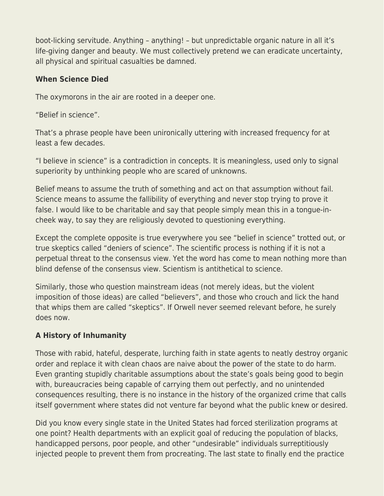boot-licking servitude. Anything – anything! – but unpredictable organic nature in all it's life-giving danger and beauty. We must collectively pretend we can eradicate uncertainty, all physical and spiritual casualties be damned.

## **When Science Died**

The oxymorons in the air are rooted in a deeper one.

"Belief in science".

That's a phrase people have been unironically uttering with increased frequency for at least a few decades.

"I believe in science" is a contradiction in concepts. It is meaningless, used only to signal superiority by unthinking people who are scared of unknowns.

Belief means to assume the truth of something and act on that assumption without fail. Science means to assume the fallibility of everything and never stop trying to prove it false. I would like to be charitable and say that people simply mean this in a tongue-incheek way, to say they are religiously devoted to questioning everything.

Except the complete opposite is true everywhere you see "belief in science" trotted out, or true skeptics called "deniers of science". The scientific process is nothing if it is not a perpetual threat to the consensus view. Yet the word has come to mean nothing more than blind defense of the consensus view. Scientism is antithetical to science.

Similarly, those who question mainstream ideas (not merely ideas, but the violent imposition of those ideas) are called "believers", and those who crouch and lick the hand that whips them are called "skeptics". If Orwell never seemed relevant before, he surely does now.

# **A History of Inhumanity**

Those with rabid, hateful, desperate, lurching faith in state agents to neatly destroy organic order and replace it with clean chaos are naive about the power of the state to do harm. Even granting stupidly charitable assumptions about the state's goals being good to begin with, bureaucracies being capable of carrying them out perfectly, and no unintended consequences resulting, there is no instance in the history of the organized crime that calls itself government where states did not venture far beyond what the public knew or desired.

Did you know every single state in the United States had forced sterilization programs at one point? Health departments with an explicit goal of reducing the population of blacks, handicapped persons, poor people, and other "undesirable" individuals surreptitiously injected people to prevent them from procreating. The last state to finally end the practice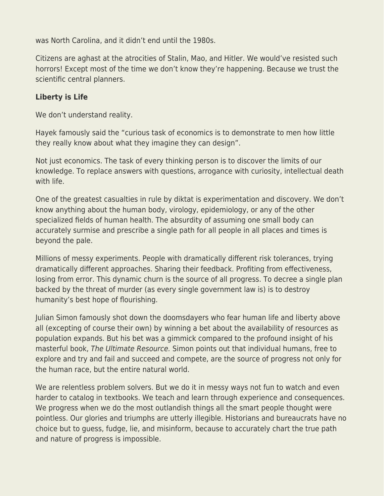was North Carolina, and it didn't end until the 1980s.

Citizens are aghast at the atrocities of Stalin, Mao, and Hitler. We would've resisted such horrors! Except most of the time we don't know they're happening. Because we trust the scientific central planners.

### **Liberty is Life**

We don't understand reality.

Hayek famously said the "curious task of economics is to demonstrate to men how little they really know about what they imagine they can design".

Not just economics. The task of every thinking person is to discover the limits of our knowledge. To replace answers with questions, arrogance with curiosity, intellectual death with life.

One of the greatest casualties in rule by diktat is experimentation and discovery. We don't know anything about the human body, virology, epidemiology, or any of the other specialized fields of human health. The absurdity of assuming one small body can accurately surmise and prescribe a single path for all people in all places and times is beyond the pale.

Millions of messy experiments. People with dramatically different risk tolerances, trying dramatically different approaches. Sharing their feedback. Profiting from effectiveness, losing from error. This dynamic churn is the source of all progress. To decree a single plan backed by the threat of murder (as every single government law is) is to destroy humanity's best hope of flourishing.

Julian Simon famously shot down the doomsdayers who fear human life and liberty above all (excepting of course their own) by winning a bet about the availability of resources as population expands. But his bet was a gimmick compared to the profound insight of his masterful book, The Ultimate Resource. Simon points out that individual humans, free to explore and try and fail and succeed and compete, are the source of progress not only for the human race, but the entire natural world.

We are relentless problem solvers. But we do it in messy ways not fun to watch and even harder to catalog in textbooks. We teach and learn through experience and consequences. We progress when we do the most outlandish things all the smart people thought were pointless. Our glories and triumphs are utterly illegible. Historians and bureaucrats have no choice but to guess, fudge, lie, and misinform, because to accurately chart the true path and nature of progress is impossible.